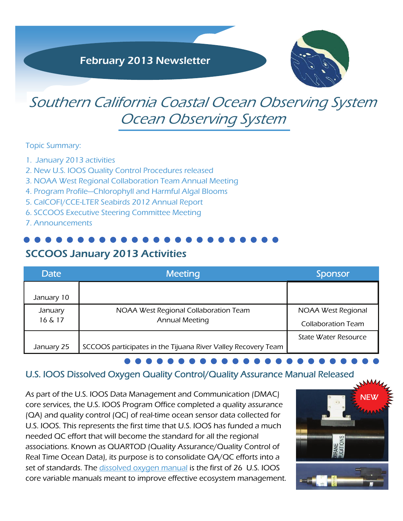

# Southern California Coastal Ocean Observing System Ocean Observing System

#### Topic Summary:

- 1. January 2013 activities
- 2. New U.S. IOOS Quality Control Procedures released
- 3. NOAA West Regional Collaboration Team Annual Meeting
- 4. Program Profile—Chlorophyll and Harmful Algal Blooms
- 5. CalCOFI/CCE-LTER Seabirds 2012 Annual Report
- 6. SCCOOS Executive Steering Committee Meeting
- 7. Announcements

## SCCOOS January 2013 Activities

| Date       | <b>Meeting</b>                                                | Sponsor                   |
|------------|---------------------------------------------------------------|---------------------------|
| January 10 |                                                               |                           |
| January    | NOAA West Regional Collaboration Team                         | NOAA West Regional        |
| 16 & 17    | <b>Annual Meeting</b>                                         | <b>Collaboration Team</b> |
|            |                                                               | State Water Resource      |
| January 25 | SCCOOS participates in the Tijuana River Valley Recovery Team |                           |

## U.S. IOOS Dissolved Oxygen Quality Control/Quality Assurance Manual Released

As part of the U.S. IOOS [Data Management and Communication](http://www.ioos.gov/data/dmac/welcome.html) (DMAC) core services, the U.S. IOOS Program Office completed a quality assurance (QA) and quality control (QC) of real-time ocean sensor data collected for U.S. IOOS. This represents the first time that U.S. IOOS has funded a much needed QC effort that will become the standard for all the regional associations. Known as QUARTOD (Quality Assurance/Quality Control of Real Time Ocean Data), its purpose is to consolidate QA/QC efforts into a set of standards. The [dissolved oxygen manual](http://www.ioos.gov/qartod/welcome.html) is the first of 26 U.S. IOOS core variable manuals meant to improve effective ecosystem management.

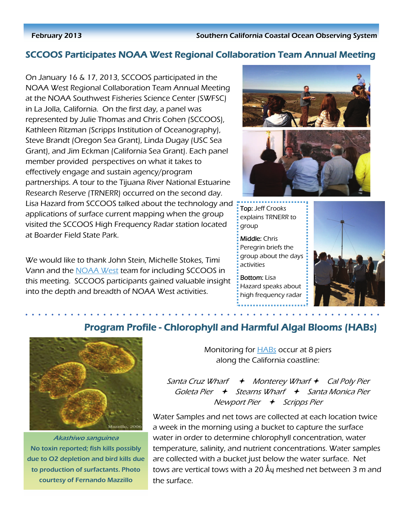#### February 2013 Southern California Coastal Ocean Observing System

## SCCOOS Participates NOAA West Regional Collaboration Team Annual Meeting

On January 16 & 17, 2013, SCCOOS participated in the NOAA West Regional Collaboration Team Annual Meeting at the NOAA Southwest Fisheries Science Center (SWFSC) in La Jolla, California. On the first day, a panel was represented by Julie Thomas and Chris Cohen (SCCOOS), Kathleen Ritzman (Scripps Institution of Oceanography), Steve Brandt (Oregon Sea Grant), Linda Dugay (USC Sea Grant), and Jim Eckman (California Sea Grant). Each panel member provided perspectives on what it takes to effectively engage and sustain agency/program partnerships. A tour to the Tijuana River National Estuarine Research Reserve (TRNERR) occurred on the second day. Lisa Hazard from SCCOOS talked about the technology and applications of surface current mapping when the group visited the SCCOOS High Frequency Radar station located at Boarder Field State Park.

We would like to thank John Stein, Michelle Stokes, Timi Vann and the [NOAA West](http://www.regions.noaa.gov/western/?page_id=13) team for including SCCOOS in this meeting. SCCOOS participants gained valuable insight into the depth and breadth of NOAA West activities.



**Top: Jeff Crooks** explains TRNERR to group

Middle: Chris Peregrin briefs the group about the days activities

**Bottom: Lisa** Hazard speaks about high frequency radar





Akashiwo sanguinea No toxin reported; fish kills possibly due to O2 depletion and bird kills due to production of surfactants. Photo courtesy of Fernando Mazzillo

# Program Profile - Chlorophyll and Harmful Algal Blooms (HABs)

Monitoring for **HABs** occur at 8 piers along the California coastline:

Santa Cruz Wharf  $\leftrightarrow$  Monterey Wharf  $\leftrightarrow$  Cal Poly Pier Goleta Pier  $\leftrightarrow$  Stearns Wharf  $\leftrightarrow$  Santa Monica Pier Newport Pier  $\leftrightarrow$  Scripps Pier

Water Samples and net tows are collected at each location twice a week in the morning using a bucket to capture the surface water in order to determine chlorophyll concentration, water temperature, salinity, and nutrient concentrations. Water samples are collected with a bucket just below the water surface. Net tows are vertical tows with a 20 Åy meshed net between 3 m and the surface.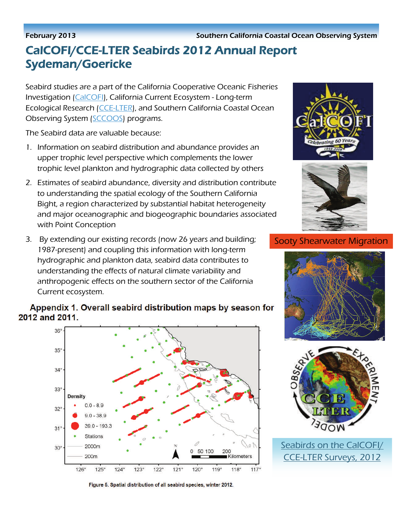#### February 2013 Southern California Coastal Ocean Observing System

# CalCOFI/CCE-LTER Seabirds 2012 Annual Report Sydeman/Goericke

Seabird studies are a part of the California Cooperative Oceanic Fisheries Investigation [\(CalCOFI\)](http://calcofi.org/), California Current Ecosystem - Long-term Ecological Research ([CCE-LTER](http://cce.lternet.edu/)), and Southern California Coastal Ocean Observing System ([SCCOOS\)](http://sccoos.org/) programs.

The Seabird data are valuable because:

- 1. Information on seabird distribution and abundance provides an upper trophic level perspective which complements the lower trophic level plankton and hydrographic data collected by others
- 2. Estimates of seabird abundance, diversity and distribution contribute to understanding the spatial ecology of the Southern California Bight, a region characterized by substantial habitat heterogeneity and major oceanographic and biogeographic boundaries associated with Point Conception
- 3. By extending our existing records (now 26 years and building; 1987-present) and coupling this information with long-term hydrographic and plankton data, seabird data contributes to understanding the effects of natural climate variability and anthropogenic effects on the southern sector of the California Current ecosystem.

### Appendix 1. Overall seabird distribution maps by season for 2012 and 2011.



Figure 5. Spatial distribution of all seabird species, winter 2012.





### Sooty Shearwater Migration





Seabirds on the CalCOFI/ CCE-LTER Surveys, 2012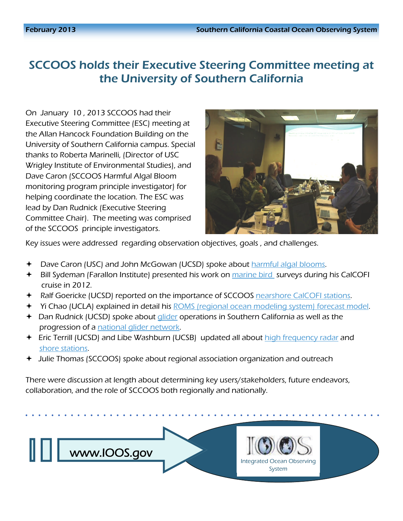# SCCOOS holds their Executive Steering Committee meeting at the University of Southern California

On January 10 , 2013 SCCOOS had their Executive Steering Committee (ESC) meeting at the Allan Hancock Foundation Building on the University of Southern California campus. Special thanks to Roberta Marinelli, (Director of USC Wrigley Institute of Environmental Studies), and Dave Caron (SCCOOS Harmful Algal Bloom monitoring program principle investigator) for helping coordinate the location. The ESC was lead by Dan Rudnick (Executive Steering Committee Chair). The meeting was comprised of the SCCOOS principle investigators.



Key issues were addressed regarding observation objectives, goals , and challenges.

- Dave Caron (USC) and John McGowan (UCSD) spoke about [harmful algal blooms](http://www.sccoos.org/data/habs/index.php).
- **→** Bill Sydeman (Farallon Institute) presented his work on [marine bird](http://www.sccoos.org/news.html#08Jan2013) surveys during his CalCOFI cruise in 2012.
- **+** Ralf Goericke (UCSD) reported on the importance of SCCOOS [nearshore CalCOFI stations](http://sccoos.ucsd.edu/data/cast/calcofi/).
- **→** Yi Chao (UCLA) explained in detail his **ROMS** (regional ocean modeling system) forecast model.
- $\triangleq$  Dan Rudnick (UCSD) spoke about [glider](http://www.sccoos.org/data/spray/?r=0) operations in Southern California as well as the progression of a [national glider network](http://www.ioos.gov/glider/strategy/welcome.html).
- Fic Terrill (UCSD) and Libe Washburn (UCSB) updated all about [high frequency radar](http://www.sccoos.org/data/hfrnet/) and [shore stations](http://www.sccoos.org/data/autoshorestations/autoshorestations.php).
- Julie Thomas (SCCOOS) spoke about regional association organization and outreach

There were discussion at length about determining key users/stakeholders, future endeavors, collaboration, and the role of SCCOOS both regionally and nationally.